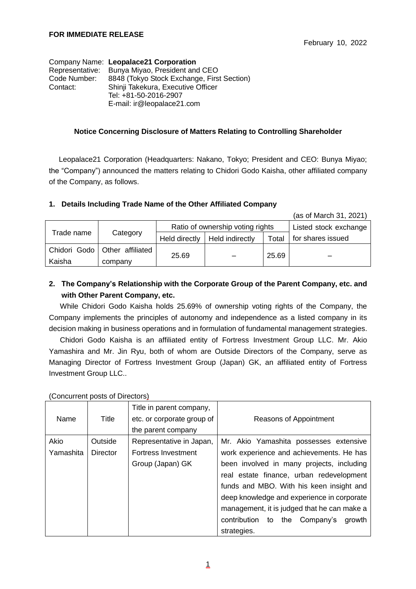|              | Company Name: Leopalace21 Corporation          |
|--------------|------------------------------------------------|
|              | Representative: Bunya Miyao, President and CEO |
| Code Number: | 8848 (Tokyo Stock Exchange, First Section)     |
| Contact:     | Shinji Takekura, Executive Officer             |
|              | Tel: +81-50-2016-2907                          |
|              | E-mail: ir@leopalace21.com                     |

#### **Notice Concerning Disclosure of Matters Relating to Controlling Shareholder**

Leopalace21 Corporation (Headquarters: Nakano, Tokyo; President and CEO: Bunya Miyao; the "Company") announced the matters relating to Chidori Godo Kaisha, other affiliated company of the Company, as follows.

### **1. Details Including Trade Name of the Other Affiliated Company**

(as of March 31, 2021)

|            |                                 | Ratio of ownership voting rights |                 |       | Listed stock exchange |
|------------|---------------------------------|----------------------------------|-----------------|-------|-----------------------|
| Trade name | Category                        | Held directly                    | Held indirectly | Total | for shares issued     |
|            | Chidori Godo   Other affiliated |                                  |                 | 25.69 |                       |
| Kaisha     | company                         | 25.69                            |                 |       |                       |

## **2. The Company's Relationship with the Corporate Group of the Parent Company, etc. and with Other Parent Company, etc.**

While Chidori Godo Kaisha holds 25.69% of ownership voting rights of the Company, the Company implements the principles of autonomy and independence as a listed company in its decision making in business operations and in formulation of fundamental management strategies.

Chidori Godo Kaisha is an affiliated entity of Fortress Investment Group LLC. Mr. Akio Yamashira and Mr. Jin Ryu, both of whom are Outside Directors of the Company, serve as Managing Director of Fortress Investment Group (Japan) GK, an affiliated entity of Fortress Investment Group LLC..

|           |                 | Title in parent company,   |                                             |
|-----------|-----------------|----------------------------|---------------------------------------------|
| Name      | Title           | etc. or corporate group of | Reasons of Appointment                      |
|           |                 | the parent company         |                                             |
| Akio      | Outside         | Representative in Japan,   | Mr. Akio Yamashita possesses extensive      |
| Yamashita | <b>Director</b> | Fortress Investment        | work experience and achievements. He has    |
|           |                 | Group (Japan) GK           | been involved in many projects, including   |
|           |                 |                            | real estate finance, urban redevelopment    |
|           |                 |                            | funds and MBO. With his keen insight and    |
|           |                 |                            | deep knowledge and experience in corporate  |
|           |                 |                            | management, it is judged that he can make a |
|           |                 |                            | contribution to<br>the Company's<br>growth  |
|           |                 |                            | strategies.                                 |

#### (Concurrent posts of Directors)